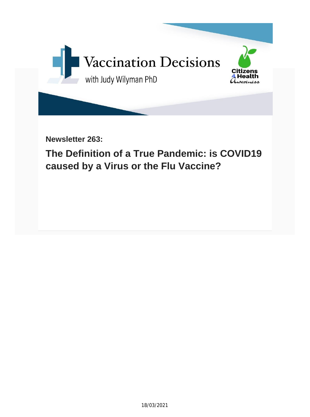

**Newsletter 263:**

**The Definition of a True Pandemic: is COVID19 caused by a Virus or the Flu Vaccine?**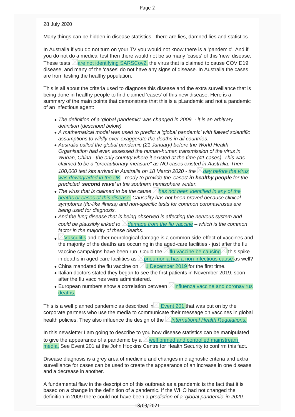## 28 July 2020

Many things can be hidden in disease statistics - there are lies, damned lies and statistics.

In Australia if you do not turn on your TV you would not know there is a 'pandemic'. And if you do not do a medical test then there would not be so many 'cases' of this 'new' disease. These tests  $\triangle$  [are not identifying SARSCov2,](https://vaccinationdecisions.us8.list-manage.com/track/click?u=f20605fde3732e41929f4a3f2&id=82bee590a5&e=6b3f8c9022) the virus that is claimed to cause COVID19 disease, and many of the 'cases' do not have any signs of disease. In Australia the cases are from testing the healthy population.

This is all about the criteria used to diagnose this disease and the extra surveillance that is being done in healthy people to find claimed 'cases' of this new disease. Here is a summary of the main points that demonstrate that this is a pLandemic and not a pandemic of an infectious agent:

- *The definition of a 'global pandemic' was changed in 2009 it is an arbitrary definition (described below)*
- *A mathematical model was used to predict a 'global pandemic' with flawed scientific assumptions to wildly over-exaggerate the deaths in all countries.*
- *Australia called the global pandemic (21 January) before the World Health Organisation had even assessed the human-human transmission of the virus in Wuhan, China - the only country where it existed at the time (41 cases). This was claimed to be a "precautionary measure" as NO cases existed in Australia. Then 100,000 test kits arrived in Australia on 18 March 2020 - the [day before the virus](https://vaccinationdecisions.us8.list-manage.com/track/click?u=f20605fde3732e41929f4a3f2&id=a2572454df&e=6b3f8c9022)  [was downgraded in the UK](https://vaccinationdecisions.us8.list-manage.com/track/click?u=f20605fde3732e41929f4a3f2&id=a2572454df&e=6b3f8c9022) - ready to provide the 'cases' in healthy people for the predicted 'second wave' in the southern hemisphere winter.*
- The virus that is claimed to be the cause  $\triangle$  [has not been identified in any of the](https://vaccinationdecisions.us8.list-manage.com/track/click?u=f20605fde3732e41929f4a3f2&id=52e8417809&e=6b3f8c9022) *[deaths or cases of this disease.](https://vaccinationdecisions.us8.list-manage.com/track/click?u=f20605fde3732e41929f4a3f2&id=52e8417809&e=6b3f8c9022) Causality has not been proved because clinical symptoms (flu-like illness) and non-specific tests for common coronaviruses are being used for diagnosis.*
- *And the lung disease that is being observed is affecting the nervous system and could be plausibly linked to*  $\triangle$  *[damage from the flu vaccine](https://vaccinationdecisions.us8.list-manage.com/track/click?u=f20605fde3732e41929f4a3f2&id=f08745682c&e=6b3f8c9022)*  $\angle$  *– which is the common factor in the majority of these deaths.*
- $\bullet$   $\overline{\triangle}$  [Vasculitis](https://vaccinationdecisions.us8.list-manage.com/track/click?u=f20605fde3732e41929f4a3f2&id=a7887848d3&e=6b3f8c9022) and other neurological damage is a common side-effect of vaccines and the majority of the deaths are occurring in the aged-care facilities - just after the flu vaccine campaigns have been run. Could the  $\frac{1}{\sqrt{t}}$  [flu vaccine be causing](https://vaccinationdecisions.us8.list-manage.com/track/click?u=f20605fde3732e41929f4a3f2&id=bfbbf76750&e=6b3f8c9022)  $\frac{1}{\sqrt{t}}$  this spike in deaths in aged-care facilities as  $\triangle$  [pneumonia has a non-infectious cause a](https://vaccinationdecisions.us8.list-manage.com/track/click?u=f20605fde3732e41929f4a3f2&id=5637134137&e=6b3f8c9022)s well?
- China mandated the flu vaccine on  $\boxtimes$  [1 December 2019 f](https://vaccinationdecisions.us8.list-manage.com/track/click?u=f20605fde3732e41929f4a3f2&id=013957229c&e=6b3f8c9022)or the first time.
- Italian doctors stated they began to see the first patients in November 2019, soon after the flu vaccines were administered.
- $\bullet$  European numbers show a correlation between  $\boxtimes$  [influenza vaccine and coronavirus](https://vaccinationdecisions.us8.list-manage.com/track/click?u=f20605fde3732e41929f4a3f2&id=6a1a8238ee&e=6b3f8c9022) [deaths.](https://vaccinationdecisions.us8.list-manage.com/track/click?u=f20605fde3732e41929f4a3f2&id=6a1a8238ee&e=6b3f8c9022)

This is a well planned pandemic as described in  $\leq$  [Event 201](https://vaccinationdecisions.us8.list-manage.com/track/click?u=f20605fde3732e41929f4a3f2&id=e2f5feb211&e=6b3f8c9022) that was put on by the corporate partners who use the media to communicate their message on vaccines in global health policies. They also influence the design of the *[International Health Regulations.](https://vaccinationdecisions.us8.list-manage.com/track/click?u=f20605fde3732e41929f4a3f2&id=bba01a0afb&e=6b3f8c9022)*

In this newsletter I am going to describe to you how disease statistics can be manipulated to give the appearance of a pandemic by a  $\boxtimes$  well primed and controlled mainstream [media.](https://vaccinationdecisions.us8.list-manage.com/track/click?u=f20605fde3732e41929f4a3f2&id=fe03859467&e=6b3f8c9022) See Event 201 at the John Hopkins Centre for Health Security to confirm this fact.

Disease diagnosis is a grey area of medicine and changes in diagnostic criteria and extra surveillance for cases can be used to create the appearance of an increase in one disease and a decrease in another.

A fundamental flaw in the description of this outbreak as a pandemic is the fact that it is based on a change in the definition of a pandemic. If the WHO had not changed the definition in 2009 there could not have been a *prediction of a 'global pandemic' in 2020.*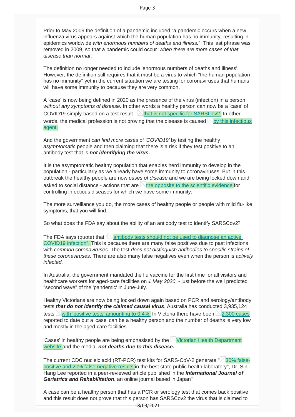Prior to May 2009 the definition of a pandemic included "a pandemic occurs when a new influenza virus appears against which the human population has no immunity, resulting in epidemics worldwide *with enormous numbers of deaths and illness.*" This last phrase was removed in 2009, so that a pandemic could occur '*when there are more cases of that disease than normal'.*

The definition no longer needed to include 'enormous numbers of deaths and illness'. However, the definition still requires that it must be a virus to which "the human population has no immunity" yet in the current situation we are testing for coronaviruses that humans will have some immunity to because they are very common.

A 'case' is now being defined in 2020 as the presence of the virus (infection) in a person *without any symptoms of disease.* In other words a healthy person can now be a 'case' of COVID19 simply based on a test result -  $\triangle$ [that is not specific for SARSCov2.](https://vaccinationdecisions.us8.list-manage.com/track/click?u=f20605fde3732e41929f4a3f2&id=d52a31995e&e=6b3f8c9022) In other words, the medical profession is not proving that the disease is caused  $\triangle$  [by this infectious](https://vaccinationdecisions.us8.list-manage.com/track/click?u=f20605fde3732e41929f4a3f2&id=ad1a3e0163&e=6b3f8c9022) [agent.](https://vaccinationdecisions.us8.list-manage.com/track/click?u=f20605fde3732e41929f4a3f2&id=ad1a3e0163&e=6b3f8c9022)

And the government *can find more cases* of *'COVID19'* by testing the healthy *asymptomatic* people and then claiming that there is a risk if they test positive to an antibody test that is *not identifying the virus.*

It is the asymptomatic healthy population that enables herd immunity to develop in the population - particularly as we already have some immunity to coronaviruses. But in this outbreak the healthy people are now *cases of disease* and we are being locked down and asked to social distance - actions that are  $\triangle$  [the opposite to the scientific evidence f](https://vaccinationdecisions.us8.list-manage.com/track/click?u=f20605fde3732e41929f4a3f2&id=b528b24259&e=6b3f8c9022)or controlling infectious diseases for which we have some immunity.

The more surveillance you do, the more cases of healthy people or people with mild flu-like symptoms, that you will find.

So what does the FDA say about the ability of an antibody test to identify SARSCov2?

The FDA says (quote) that " $\triangle$  antibody tests should not be used to diagnose an active [COVID19 infection".](https://vaccinationdecisions.us8.list-manage.com/track/click?u=f20605fde3732e41929f4a3f2&id=42f6eea730&e=6b3f8c9022) This is because there are many false positives due to past infections with *common coronaviruses.* The test *does not distinguish antibodies to specific strains of these coronaviruses*. There are also many false negatives even when the person is *actively infected.*

In Australia, the government mandated the flu vaccine for the first time for all visitors and healthcare workers for aged-care facilities on *1 May 2020* - just before the well predicted "second wave" of the 'pandemic' in June-July.

Healthy Victorians are now being locked down again based on PCR and serology/antibody tests *that do not identify the claimed causal virus*. Australia has conducted 3,935,124 tests  $\chi$  [with 'positive tests' amounting to 0.4%.](https://vaccinationdecisions.us8.list-manage.com/track/click?u=f20605fde3732e41929f4a3f2&id=f4d0e83995&e=6b3f8c9022) In Victoria there have been  $\chi$  [2,300 cases](https://vaccinationdecisions.us8.list-manage.com/track/click?u=f20605fde3732e41929f4a3f2&id=7f10a81e4d&e=6b3f8c9022) reported to date but a 'case' can be a healthy person and the number of deaths is very low and mostly in the aged-care facilities.

'Cases' in healthy people are being emphasised by the  $\triangle$  [Victorian Health Department](https://vaccinationdecisions.us8.list-manage.com/track/click?u=f20605fde3732e41929f4a3f2&id=246e56fe3a&e=6b3f8c9022) [website](https://vaccinationdecisions.us8.list-manage.com/track/click?u=f20605fde3732e41929f4a3f2&id=246e56fe3a&e=6b3f8c9022) and the media, *not deaths due to this disease.*

The current CDC nucleic acid (RT-PCR) test kits for SARS-CoV-2 generate " $\triangle$ [30% false](https://vaccinationdecisions.us8.list-manage.com/track/click?u=f20605fde3732e41929f4a3f2&id=7c69c04b19&e=6b3f8c9022)[positive and 20% false-negative results i](https://vaccinationdecisions.us8.list-manage.com/track/click?u=f20605fde3732e41929f4a3f2&id=7c69c04b19&e=6b3f8c9022)n the best state public health laboratory", Dr. Sin Hang Lee reported in a peer-reviewed article published in the *International Journal of Geriatrics and Rehabilitation*, an online journal based in Japan"

A case can be a healthy person that has a PCR or serology test that comes back positive and this result does not prove that this person has SARSCov2 the virus that is claimed to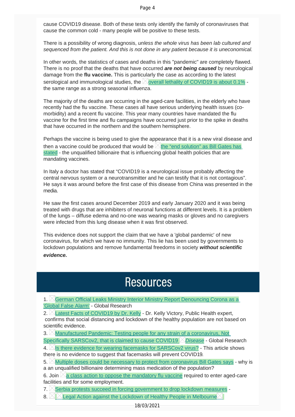cause COVID19 disease. Both of these tests only identify the family of coronaviruses that cause the common cold - many people will be positive to these tests.

There is a possibility of wrong diagnosis, *unless the whole virus has been lab cultured and sequenced from the patient. And this is not done in any patient because it is uneconomical.*

In other words*,* the statistics of cases and deaths in this "pandemic" are completely flawed. There is no proof that the deaths that have occurred *are not being caused* by neurological damage from the **flu vaccine.** This is particularly the case as according to the latest serological and immunological studies, the  $\triangle$  overall lethality of [COVID19](https://vaccinationdecisions.us8.list-manage.com/track/click?u=f20605fde3732e41929f4a3f2&id=9ef9b3c7ba&e=6b3f8c9022) is about 0.1% the same range as a strong seasonal influenza.

The majority of the deaths are occurring in the aged-care facilities, in the elderly who have recently had the flu vaccine. These cases all have serious underlying health issues (comorbidity) and a recent flu vaccine. This year many countries have mandated the flu vaccine for the first time and flu campaigns have occurred just prior to the spike in deaths that have occurred in the northern and the southern hemisphere.

Perhaps the vaccine is being used to give the appearance that it is a new viral disease and then a vaccine could be produced that would be  $\times$  the "end [solution"](https://vaccinationdecisions.us8.list-manage.com/track/click?u=f20605fde3732e41929f4a3f2&id=8c8f4aa94a&e=6b3f8c9022) as Bill Gates has [stated](https://vaccinationdecisions.us8.list-manage.com/track/click?u=f20605fde3732e41929f4a3f2&id=8c8f4aa94a&e=6b3f8c9022) - the unqualified billionaire that is influencing global health policies that are mandating vaccines.

In Italy a doctor has stated that "COVID19 is a neurological issue probably affecting the central nervous system or a neurotransmitter and he can testify that it is not contagious". He says it was around before the first case of this disease from China was presented in the media.

He saw the first cases around December 2019 and early January 2020 and it was being treated with drugs that are inhibiters of neuronal functions at different levels. It is a problem of the lungs – diffuse edema and no-one was wearing masks or gloves and no caregivers were infected from this lung disease when it was first observed.

This evidence does not support the claim that we have a 'global pandemic' of new coronavirus, for which we have no immunity. This lie has been used by governments to lockdown populations and remove fundamental freedoms in society *without scientific evidence.*

## **Resources**

1.  $\times$  German Official Leaks Ministry Interior Ministry Report [Denouncing](https://vaccinationdecisions.us8.list-manage.com/track/click?u=f20605fde3732e41929f4a3f2&id=6fe6e928c9&e=6b3f8c9022) Corona as a ['Global](https://vaccinationdecisions.us8.list-manage.com/track/click?u=f20605fde3732e41929f4a3f2&id=6fe6e928c9&e=6b3f8c9022) False Alarm' - Global Research

2.  $\triangle$  Latest Facts of [COVID19](https://vaccinationdecisions.us8.list-manage.com/track/click?u=f20605fde3732e41929f4a3f2&id=38aa6c4c4c&e=6b3f8c9022) by Dr. Kelly - Dr. Kelly Victory, Public Health expert, confirms that social distancing and lockdown of the healthy population are not based on scientific evidence.

3. [Manufactured](https://vaccinationdecisions.us8.list-manage.com/track/click?u=f20605fde3732e41929f4a3f2&id=56f84a043a&e=6b3f8c9022) Pandemic: Testing people for any strain of a coronavirus, Not Specifically [SARSCov2,](https://vaccinationdecisions.us8.list-manage.com/track/click?u=f20605fde3732e41929f4a3f2&id=56f84a043a&e=6b3f8c9022) that is claimed to cause COVID19 *[Disease](https://vaccinationdecisions.us8.list-manage.com/track/click?u=f20605fde3732e41929f4a3f2&id=db4aad178a&e=6b3f8c9022)* - Global Research 4.  $\triangle$  is there evidence for wearing facemasks for [SARSCov2](https://vaccinationdecisions.us8.list-manage.com/track/click?u=f20605fde3732e41929f4a3f2&id=0c0fff7c66&e=6b3f8c9022) virus? - This article shows

there is no evidence to suggest that facemasks will prevent COVID19.

5.  $\triangle$ Multiple doses could be necessary to protect from [coronavirus](https://vaccinationdecisions.us8.list-manage.com/track/click?u=f20605fde3732e41929f4a3f2&id=b9eaa58de9&e=6b3f8c9022) Bill Gates says - why is a an unqualified billionaire determining mass medication of the population?

6. Join  $\boxtimes$  a class action to oppose the [mandatory](https://vaccinationdecisions.us8.list-manage.com/track/click?u=f20605fde3732e41929f4a3f2&id=1dacb09f2d&e=6b3f8c9022) flu vaccine required to enter aged-care facilities and for some employment.

7.  $\triangle$  Serbia protests succeed in forcing [government](https://vaccinationdecisions.us8.list-manage.com/track/click?u=f20605fde3732e41929f4a3f2&id=fcd06bd75c&e=6b3f8c9022) to drop lockdown measures -

8.  $\times$  Legal Action against the Lockdown of Healthy People in [Melbourne](https://vaccinationdecisions.us8.list-manage.com/track/click?u=f20605fde3732e41929f4a3f2&id=6596e29690&e=6b3f8c9022)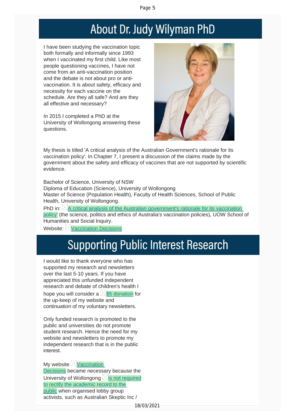## About Dr. Judy Wilyman PhD

I have been studying the vaccination topic both formally and informally since 1993 when I vaccinated my first child. Like most people questioning vaccines, I have not come from an anti-vaccination position and the debate is not about pro or antivaccination. It is about safety, efficacy and necessity for each vaccine on the schedule. Are they all safe? And are they all effective and necessary?

In 2015 I completed a PhD at the University of Wollongong answering these questions.



My thesis is titled 'A critical analysis of the Australian Government's rationale for its vaccination policy'. In Chapter 7, I present a discussion of the claims made by the government about the safety and efficacy of vaccines that are not supported by scientific evidence.

Bachelor of Science, University of NSW

Diploma of Education (Science), University of Wollongong Master of Science (Population Health), Faculty of Health Sciences, School of Public Health, University of Wollongong.

PhD in:  $\triangle A$  critical analysis of the Australian [government's](https://vaccinationdecisions.us8.list-manage.com/track/click?u=f20605fde3732e41929f4a3f2&id=4904301554&e=6b3f8c9022) rationale for its vaccination

[policy'](https://vaccinationdecisions.us8.list-manage.com/track/click?u=f20605fde3732e41929f4a3f2&id=4904301554&e=6b3f8c9022) (the science, politics and ethics of Australia's vaccination policies), UOW School of Humanities and Social Inquiry.

Website: **[Vaccination](https://vaccinationdecisions.us8.list-manage.com/track/click?u=f20605fde3732e41929f4a3f2&id=23d4aa27db&e=6b3f8c9022) Decisions** 

## **Supporting Public Interest Research**

I would like to thank everyone who has supported my research and newsletters over the last 5-10 years. If you have appreciated this unfunded independent research and debate of children's health I hope you will consider a  $\times$ \$5 [donation](https://vaccinationdecisions.us8.list-manage.com/track/click?u=f20605fde3732e41929f4a3f2&id=970488baf7&e=6b3f8c9022) for the up-keep of my website and continuation of my voluntary newsletters.

Only funded research is promoted to the public and universities do not promote student research. Hence the need for my website and newsletters to promote my independent research that is in the public interest.

My website  $\triangle$  [Vaccination](https://vaccinationdecisions.us8.list-manage.com/track/click?u=f20605fde3732e41929f4a3f2&id=e64d81e990&e=6b3f8c9022) [Decisions](https://vaccinationdecisions.us8.list-manage.com/track/click?u=f20605fde3732e41929f4a3f2&id=e64d81e990&e=6b3f8c9022) became necessary because the University of Wollongong  $\boxtimes$  is not [required](https://vaccinationdecisions.us8.list-manage.com/track/click?u=f20605fde3732e41929f4a3f2&id=4380f567cf&e=6b3f8c9022) to rectify the [academic](https://vaccinationdecisions.us8.list-manage.com/track/click?u=f20605fde3732e41929f4a3f2&id=4380f567cf&e=6b3f8c9022) record to the [public](https://vaccinationdecisions.us8.list-manage.com/track/click?u=f20605fde3732e41929f4a3f2&id=4380f567cf&e=6b3f8c9022) when organised lobby group activists, such as Australian Skeptic Inc /

18/03/2021